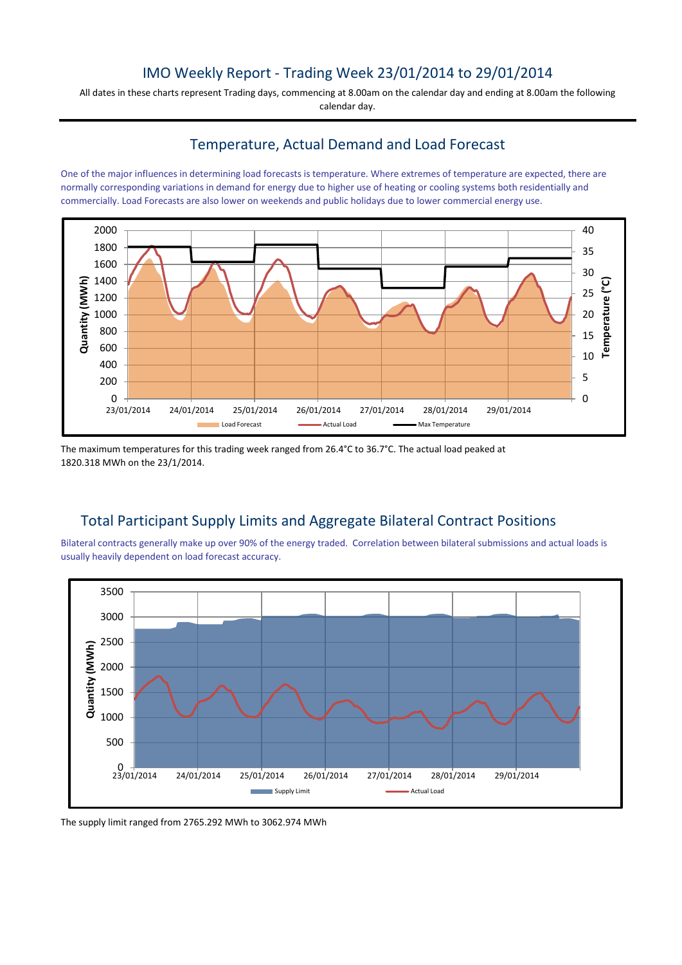## IMO Weekly Report - Trading Week 23/01/2014 to 29/01/2014

All dates in these charts represent Trading days, commencing at 8.00am on the calendar day and ending at 8.00am the following calendar day.

#### Temperature, Actual Demand and Load Forecast

One of the major influences in determining load forecasts is temperature. Where extremes of temperature are expected, there are normally corresponding variations in demand for energy due to higher use of heating or cooling systems both residentially and commercially. Load Forecasts are also lower on weekends and public holidays due to lower commercial energy use.



The maximum temperatures for this trading week ranged from 26.4°C to 36.7°C. The actual load peaked at 1820.318 MWh on the 23/1/2014.

# Total Participant Supply Limits and Aggregate Bilateral Contract Positions

Bilateral contracts generally make up over 90% of the energy traded. Correlation between bilateral submissions and actual loads is usually heavily dependent on load forecast accuracy.



The supply limit ranged from 2765.292 MWh to 3062.974 MWh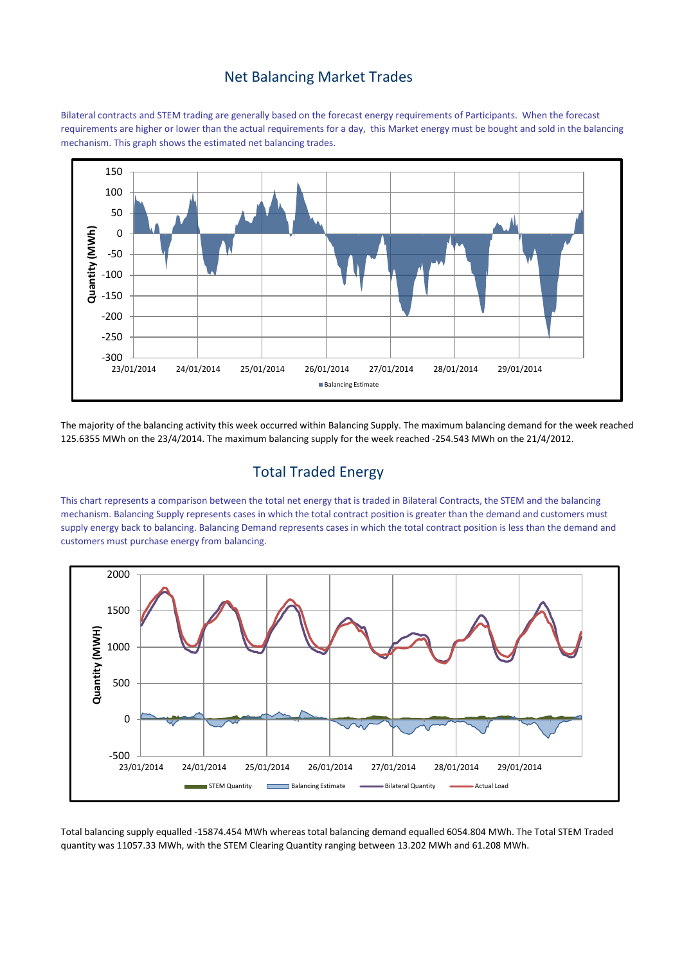#### Net Balancing Market Trades

Bilateral contracts and STEM trading are generally based on the forecast energy requirements of Participants. When the forecast requirements are higher or lower than the actual requirements for a day, this Market energy must be bought and sold in the balancing mechanism. This graph shows the estimated net balancing trades.



The majority of the balancing activity this week occurred within Balancing Supply. The maximum balancing demand for the week reached 125.6355 MWh on the 23/4/2014. The maximum balancing supply for the week reached -254.543 MWh on the 21/4/2012.

# Total Traded Energy

This chart represents a comparison between the total net energy that is traded in Bilateral Contracts, the STEM and the balancing mechanism. Balancing Supply represents cases in which the total contract position is greater than the demand and customers must supply energy back to balancing. Balancing Demand represents cases in which the total contract position is less than the demand and customers must purchase energy from balancing.



Total balancing supply equalled -15874.454 MWh whereas total balancing demand equalled 6054.804 MWh. The Total STEM Traded quantity was 11057.33 MWh, with the STEM Clearing Quantity ranging between 13.202 MWh and 61.208 MWh.